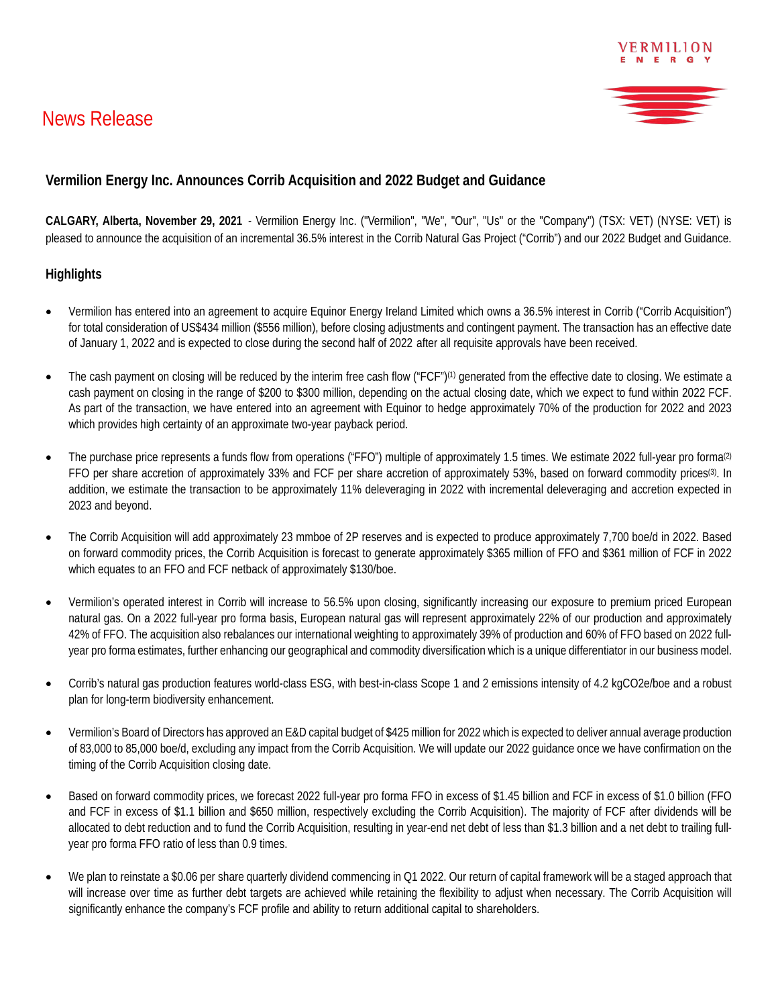# News Release



VERMILION

## **Vermilion Energy Inc. Announces Corrib Acquisition and 2022 Budget and Guidance**

**CALGARY, Alberta, November 29, 2021** - Vermilion Energy Inc. ("Vermilion", "We", "Our", "Us" or the "Company") (TSX: VET) (NYSE: VET) is pleased to announce the acquisition of an incremental 36.5% interest in the Corrib Natural Gas Project ("Corrib") and our 2022 Budget and Guidance.

#### **Highlights**

- Vermilion has entered into an agreement to acquire Equinor Energy Ireland Limited which owns a 36.5% interest in Corrib ("Corrib Acquisition") for total consideration of US\$434 million (\$556 million), before closing adjustments and contingent payment. The transaction has an effective date of January 1, 2022 and is expected to close during the second half of 2022 after all requisite approvals have been received.
- The cash payment on closing will be reduced by the interim free cash flow ("FCF")<sup>(1)</sup> generated from the effective date to closing. We estimate a cash payment on closing in the range of \$200 to \$300 million, depending on the actual closing date, which we expect to fund within 2022 FCF. As part of the transaction, we have entered into an agreement with Equinor to hedge approximately 70% of the production for 2022 and 2023 which provides high certainty of an approximate two-year payback period.
- The purchase price represents a funds flow from operations ("FFO") multiple of approximately 1.5 times. We estimate 2022 full-year pro forma<sup>(2)</sup> FFO per share accretion of approximately 33% and FCF per share accretion of approximately 53%, based on forward commodity prices<sup>(3)</sup>. In addition, we estimate the transaction to be approximately 11% deleveraging in 2022 with incremental deleveraging and accretion expected in 2023 and beyond.
- The Corrib Acquisition will add approximately 23 mmboe of 2P reserves and is expected to produce approximately 7,700 boe/d in 2022. Based on forward commodity prices, the Corrib Acquisition is forecast to generate approximately \$365 million of FFO and \$361 million of FCF in 2022 which equates to an FFO and FCF netback of approximately \$130/boe.
- Vermilion's operated interest in Corrib will increase to 56.5% upon closing, significantly increasing our exposure to premium priced European natural gas. On a 2022 full-year pro forma basis, European natural gas will represent approximately 22% of our production and approximately 42% of FFO. The acquisition also rebalances our international weighting to approximately 39% of production and 60% of FFO based on 2022 fullyear pro forma estimates, further enhancing our geographical and commodity diversification which is a unique differentiator in our business model.
- Corrib's natural gas production features world-class ESG, with best-in-class Scope 1 and 2 emissions intensity of 4.2 kgCO2e/boe and a robust plan for long-term biodiversity enhancement.
- Vermilion's Board of Directors has approved an E&D capital budget of \$425 million for 2022 which is expected to deliver annual average production of 83,000 to 85,000 boe/d, excluding any impact from the Corrib Acquisition. We will update our 2022 guidance once we have confirmation on the timing of the Corrib Acquisition closing date.
- Based on forward commodity prices, we forecast 2022 full-year pro forma FFO in excess of \$1.45 billion and FCF in excess of \$1.0 billion (FFO and FCF in excess of \$1.1 billion and \$650 million, respectively excluding the Corrib Acquisition). The majority of FCF after dividends will be allocated to debt reduction and to fund the Corrib Acquisition, resulting in year-end net debt of less than \$1.3 billion and a net debt to trailing fullyear pro forma FFO ratio of less than 0.9 times.
- We plan to reinstate a \$0.06 per share quarterly dividend commencing in Q1 2022. Our return of capital framework will be a staged approach that will increase over time as further debt targets are achieved while retaining the flexibility to adjust when necessary. The Corrib Acquisition will significantly enhance the company's FCF profile and ability to return additional capital to shareholders.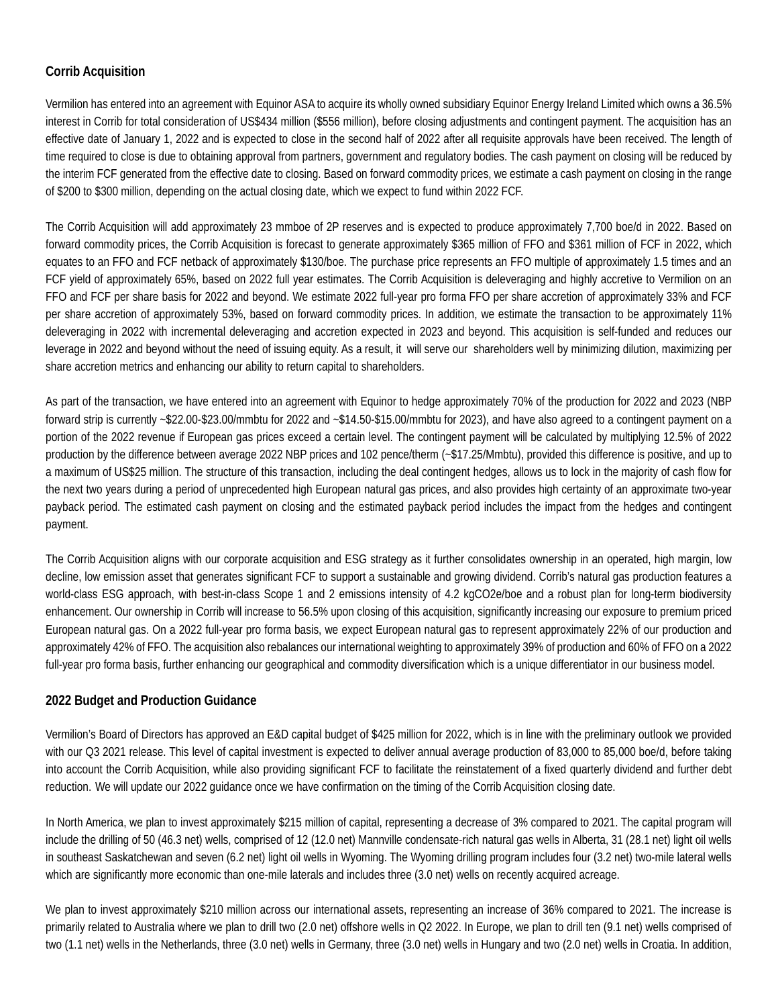### **Corrib Acquisition**

Vermilion has entered into an agreement with Equinor ASA to acquire its wholly owned subsidiary Equinor Energy Ireland Limited which owns a 36.5% interest in Corrib for total consideration of US\$434 million (\$556 million), before closing adjustments and contingent payment. The acquisition has an effective date of January 1, 2022 and is expected to close in the second half of 2022 after all requisite approvals have been received. The length of time required to close is due to obtaining approval from partners, government and regulatory bodies. The cash payment on closing will be reduced by the interim FCF generated from the effective date to closing. Based on forward commodity prices, we estimate a cash payment on closing in the range of \$200 to \$300 million, depending on the actual closing date, which we expect to fund within 2022 FCF.

The Corrib Acquisition will add approximately 23 mmboe of 2P reserves and is expected to produce approximately 7,700 boe/d in 2022. Based on forward commodity prices, the Corrib Acquisition is forecast to generate approximately \$365 million of FFO and \$361 million of FCF in 2022, which equates to an FFO and FCF netback of approximately \$130/boe. The purchase price represents an FFO multiple of approximately 1.5 times and an FCF yield of approximately 65%, based on 2022 full year estimates. The Corrib Acquisition is deleveraging and highly accretive to Vermilion on an FFO and FCF per share basis for 2022 and beyond. We estimate 2022 full-year pro forma FFO per share accretion of approximately 33% and FCF per share accretion of approximately 53%, based on forward commodity prices. In addition, we estimate the transaction to be approximately 11% deleveraging in 2022 with incremental deleveraging and accretion expected in 2023 and beyond. This acquisition is self-funded and reduces our leverage in 2022 and beyond without the need of issuing equity. As a result, it will serve our shareholders well by minimizing dilution, maximizing per share accretion metrics and enhancing our ability to return capital to shareholders.

As part of the transaction, we have entered into an agreement with Equinor to hedge approximately 70% of the production for 2022 and 2023 (NBP forward strip is currently ~\$22.00-\$23.00/mmbtu for 2022 and ~\$14.50-\$15.00/mmbtu for 2023), and have also agreed to a contingent payment on a portion of the 2022 revenue if European gas prices exceed a certain level. The contingent payment will be calculated by multiplying 12.5% of 2022 production by the difference between average 2022 NBP prices and 102 pence/therm (~\$17.25/Mmbtu), provided this difference is positive, and up to a maximum of US\$25 million. The structure of this transaction, including the deal contingent hedges, allows us to lock in the majority of cash flow for the next two years during a period of unprecedented high European natural gas prices, and also provides high certainty of an approximate two-year payback period. The estimated cash payment on closing and the estimated payback period includes the impact from the hedges and contingent payment.

The Corrib Acquisition aligns with our corporate acquisition and ESG strategy as it further consolidates ownership in an operated, high margin, low decline, low emission asset that generates significant FCF to support a sustainable and growing dividend. Corrib's natural gas production features a world-class ESG approach, with best-in-class Scope 1 and 2 emissions intensity of 4.2 kgCO2e/boe and a robust plan for long-term biodiversity enhancement. Our ownership in Corrib will increase to 56.5% upon closing of this acquisition, significantly increasing our exposure to premium priced European natural gas. On a 2022 full-year pro forma basis, we expect European natural gas to represent approximately 22% of our production and approximately 42% of FFO. The acquisition also rebalances our international weighting to approximately 39% of production and 60% of FFO on a 2022 full-year pro forma basis, further enhancing our geographical and commodity diversification which is a unique differentiator in our business model.

#### **2022 Budget and Production Guidance**

Vermilion's Board of Directors has approved an E&D capital budget of \$425 million for 2022, which is in line with the preliminary outlook we provided with our Q3 2021 release. This level of capital investment is expected to deliver annual average production of 83,000 to 85,000 boe/d, before taking into account the Corrib Acquisition, while also providing significant FCF to facilitate the reinstatement of a fixed quarterly dividend and further debt reduction. We will update our 2022 guidance once we have confirmation on the timing of the Corrib Acquisition closing date.

In North America, we plan to invest approximately \$215 million of capital, representing a decrease of 3% compared to 2021. The capital program will include the drilling of 50 (46.3 net) wells, comprised of 12 (12.0 net) Mannville condensate-rich natural gas wells in Alberta, 31 (28.1 net) light oil wells in southeast Saskatchewan and seven (6.2 net) light oil wells in Wyoming. The Wyoming drilling program includes four (3.2 net) two-mile lateral wells which are significantly more economic than one-mile laterals and includes three (3.0 net) wells on recently acquired acreage.

We plan to invest approximately \$210 million across our international assets, representing an increase of 36% compared to 2021. The increase is primarily related to Australia where we plan to drill two (2.0 net) offshore wells in Q2 2022. In Europe, we plan to drill ten (9.1 net) wells comprised of two (1.1 net) wells in the Netherlands, three (3.0 net) wells in Germany, three (3.0 net) wells in Hungary and two (2.0 net) wells in Croatia. In addition,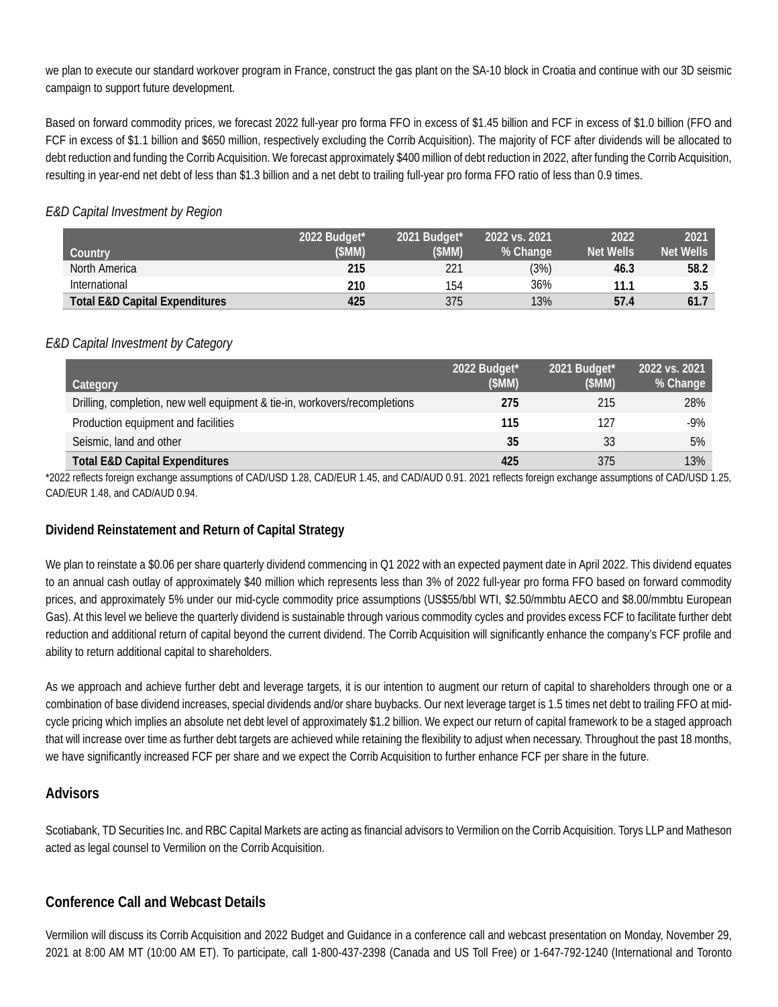we plan to execute our standard workover program in France, construct the gas plant on the SA-10 block in Croatia and continue with our 3D seismic campaign to support future development.

Based on forward commodity prices, we forecast 2022 full-year pro forma FFO in excess of \$1.45 billion and FCF in excess of \$1.0 billion (FFO and FCF in excess of \$1.1 billion and \$650 million, respectively excluding the Corrib Acquisition). The majority of FCF after dividends will be allocated to debt reduction and funding the Corrib Acquisition. We forecast approximately \$400 million of debt reduction in 2022, after funding the Corrib Acquisition, resulting in year-end net debt of less than \$1.3 billion and a net debt to trailing full-year pro forma FFO ratio of less than 0.9 times.

#### *E&D Capital Investment by Region*

| Country                                   | 2022 Budget*<br>(\$MM) | 2021 Budget*<br>(SMM) | 2022 vs. 2021<br>% Change | 2022<br><b>Net Wells</b> | 2021<br><b>Net Wells</b> |
|-------------------------------------------|------------------------|-----------------------|---------------------------|--------------------------|--------------------------|
| North America                             | 215                    | 221                   | (3%)                      | 46.3                     | 58.2                     |
| International                             | 210                    | 154                   | 36%                       | 11.1                     | 3.5                      |
| <b>Total E&amp;D Capital Expenditures</b> | 425                    | 375                   | 13%                       | 57.4                     | 61.7                     |

#### *E&D Capital Investment by Category*

| Category                                                                   | 2022 Budget*<br>(SMM) | 2021 Budget*<br>(SMM) | 2022 vs. 2021<br>% Change |
|----------------------------------------------------------------------------|-----------------------|-----------------------|---------------------------|
| Drilling, completion, new well equipment & tie-in, workovers/recompletions | 275                   | 215                   | 28%                       |
| Production equipment and facilities                                        | 115                   | 127                   | $-9%$                     |
| Seismic, land and other                                                    | 35                    | 33                    | 5%                        |
| <b>Total E&amp;D Capital Expenditures</b>                                  | 425                   | 375                   | 13%                       |

\*2022 reflects foreign exchange assumptions of CAD/USD 1.28, CAD/EUR 1.45, and CAD/AUD 0.91. 2021 reflects foreign exchange assumptions of CAD/USD 1.25, CAD/EUR 1.48, and CAD/AUD 0.94.

#### **Dividend Reinstatement and Return of Capital Strategy**

We plan to reinstate a \$0.06 per share quarterly dividend commencing in Q1 2022 with an expected payment date in April 2022. This dividend equates to an annual cash outlay of approximately \$40 million which represents less than 3% of 2022 full-year pro forma FFO based on forward commodity prices, and approximately 5% under our mid-cycle commodity price assumptions (US\$55/bbl WTI, \$2.50/mmbtu AECO and \$8.00/mmbtu European Gas). At this level we believe the quarterly dividend is sustainable through various commodity cycles and provides excess FCF to facilitate further debt reduction and additional return of capital beyond the current dividend. The Corrib Acquisition will significantly enhance the company's FCF profile and ability to return additional capital to shareholders.

As we approach and achieve further debt and leverage targets, it is our intention to augment our return of capital to shareholders through one or a combination of base dividend increases, special dividends and/or share buybacks. Our next leverage target is 1.5 times net debt to trailing FFO at midcycle pricing which implies an absolute net debt level of approximately \$1.2 billion. We expect our return of capital framework to be a staged approach that will increase over time as further debt targets are achieved while retaining the flexibility to adjust when necessary. Throughout the past 18 months, we have significantly increased FCF per share and we expect the Corrib Acquisition to further enhance FCF per share in the future.

#### **Advisors**

Scotiabank, TD Securities Inc. and RBC Capital Markets are acting as financial advisors to Vermilion on the Corrib Acquisition. Torys LLP and Matheson acted as legal counsel to Vermilion on the Corrib Acquisition.

#### **Conference Call and Webcast Details**

Vermilion will discuss its Corrib Acquisition and 2022 Budget and Guidance in a conference call and webcast presentation on Monday, November 29, 2021 at 8:00 AM MT (10:00 AM ET). To participate, call 1-800-437-2398 (Canada and US Toll Free) or 1-647-792-1240 (International and Toronto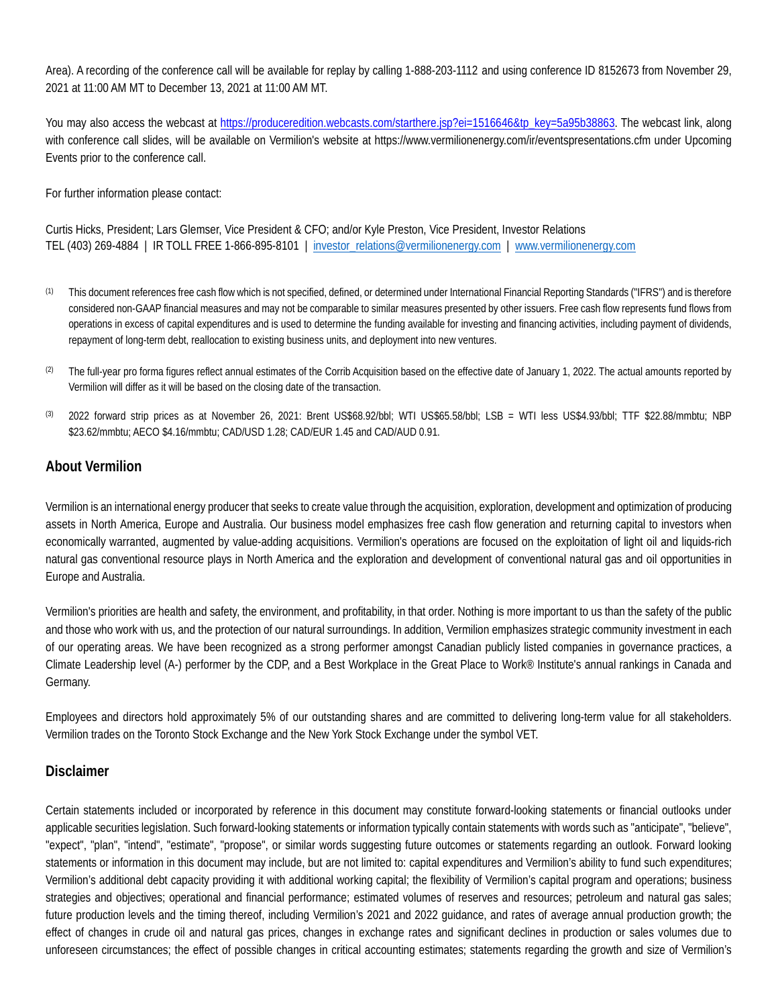Area). A recording of the conference call will be available for replay by calling 1-888-203-1112 and using conference ID 8152673 from November 29, 2021 at 11:00 AM MT to December 13, 2021 at 11:00 AM MT.

You may also access the webcast at [https://produceredition.webcasts.com/starthere.jsp?ei=1516646&tp\\_key=5a95b38863.](https://can01.safelinks.protection.outlook.com/?url=https%3A%2F%2Fproduceredition.webcasts.com%2Fstarthere.jsp%3Fei%3D1516646%26tp_key%3D5a95b38863&data=04%7C01%7Cpatton%40vermilionenergy.com%7Cd7aa5daea7384a55049d08d9b1048c37%7C62e14f2dd68d4f70b073aadb783a61b9%7C0%7C0%7C637735455385754505%7CUnknown%7CTWFpbGZsb3d8eyJWIjoiMC4wLjAwMDAiLCJQIjoiV2luMzIiLCJBTiI6Ik1haWwiLCJXVCI6Mn0%3D%7C3000&sdata=iGUsFGOLPplhNgi5l6XYAPx0cM0Z8XzhgMgBqQGFY8k%3D&reserved=0) The webcast link, along with conference call slides, will be available on Vermilion's website at<https://www.vermilionenergy.com/ir/eventspresentations.cfm> under Upcoming Events prior to the conference call.

For further information please contact:

Curtis Hicks, President; Lars Glemser, Vice President & CFO; and/or Kyle Preston, Vice President, Investor Relations TEL (403) 269-4884 | IR TOLL FREE 1-866-895-8101 | investor\_relations@vermilionenergy.com | www.vermilionenergy.com

- (1) This document references free cash flow which is not specified, defined, or determined under International Financial Reporting Standards ("IFRS") and is therefore considered non-GAAP financial measures and may not be comparable to similar measures presented by other issuers. Free cash flow represents fund flows from operations in excess of capital expenditures and is used to determine the funding available for investing and financing activities, including payment of dividends, repayment of long-term debt, reallocation to existing business units, and deployment into new ventures.
- <sup>(2)</sup> The full-year pro forma figures reflect annual estimates of the Corrib Acquisition based on the effective date of January 1, 2022. The actual amounts reported by Vermilion will differ as it will be based on the closing date of the transaction.
- (3) 2022 forward strip prices as at November 26, 2021: Brent US\$68.92/bbl; WTI US\$65.58/bbl; LSB = WTI less US\$4.93/bbl; TTF \$22.88/mmbtu; NBP \$23.62/mmbtu; AECO \$4.16/mmbtu; CAD/USD 1.28; CAD/EUR 1.45 and CAD/AUD 0.91.

#### **About Vermilion**

Vermilion is an international energy producer that seeks to create value through the acquisition, exploration, development and optimization of producing assets in North America, Europe and Australia. Our business model emphasizes free cash flow generation and returning capital to investors when economically warranted, augmented by value-adding acquisitions. Vermilion's operations are focused on the exploitation of light oil and liquids-rich natural gas conventional resource plays in North America and the exploration and development of conventional natural gas and oil opportunities in Europe and Australia.

Vermilion's priorities are health and safety, the environment, and profitability, in that order. Nothing is more important to us than the safety of the public and those who work with us, and the protection of our natural surroundings. In addition, Vermilion emphasizes strategic community investment in each of our operating areas. We have been recognized as a strong performer amongst Canadian publicly listed companies in governance practices, a Climate Leadership level (A-) performer by the CDP, and a Best Workplace in the Great Place to Work® Institute's annual rankings in Canada and Germany.

Employees and directors hold approximately 5% of our outstanding shares and are committed to delivering long-term value for all stakeholders. Vermilion trades on the Toronto Stock Exchange and the New York Stock Exchange under the symbol VET.

#### **Disclaimer**

Certain statements included or incorporated by reference in this document may constitute forward-looking statements or financial outlooks under applicable securities legislation. Such forward-looking statements or information typically contain statements with words such as "anticipate", "believe", "expect", "plan", "intend", "estimate", "propose", or similar words suggesting future outcomes or statements regarding an outlook. Forward looking statements or information in this document may include, but are not limited to: capital expenditures and Vermilion's ability to fund such expenditures; Vermilion's additional debt capacity providing it with additional working capital; the flexibility of Vermilion's capital program and operations; business strategies and objectives; operational and financial performance; estimated volumes of reserves and resources; petroleum and natural gas sales; future production levels and the timing thereof, including Vermilion's 2021 and 2022 guidance, and rates of average annual production growth; the effect of changes in crude oil and natural gas prices, changes in exchange rates and significant declines in production or sales volumes due to unforeseen circumstances; the effect of possible changes in critical accounting estimates; statements regarding the growth and size of Vermilion's